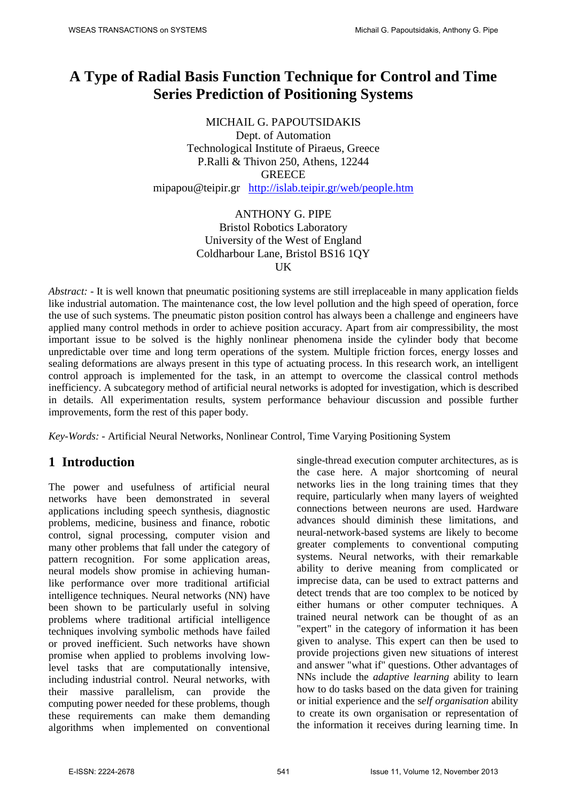# **A Type of Radial Basis Function Technique for Control and Time Series Prediction of Positioning Systems**

MICHAIL G. PAPOUTSIDAKIS Dept. of Automation Technological Institute of Piraeus, Greece P.Ralli & Thivon 250, Athens, 12244 **GREECE** mipapou@teipir.gr <http://islab.teipir.gr/web/people.htm>

### ANTHONY G. PIPE Bristol Robotics Laboratory University of the West of England Coldharbour Lane, Bristol BS16 1QY **UK**

*Abstract: -* It is well known that pneumatic positioning systems are still irreplaceable in many application fields like industrial automation. The maintenance cost, the low level pollution and the high speed of operation, force the use of such systems. The pneumatic piston position control has always been a challenge and engineers have applied many control methods in order to achieve position accuracy. Apart from air compressibility, the most important issue to be solved is the highly nonlinear phenomena inside the cylinder body that become unpredictable over time and long term operations of the system. Multiple friction forces, energy losses and sealing deformations are always present in this type of actuating process. In this research work, an intelligent control approach is implemented for the task, in an attempt to overcome the classical control methods inefficiency. A subcategory method of artificial neural networks is adopted for investigation, which is described in details. All experimentation results, system performance behaviour discussion and possible further improvements, form the rest of this paper body.

*Key-Words: -* Artificial Neural Networks, Nonlinear Control, Time Varying Positioning System

## **1 Introduction**

The power and usefulness of artificial neural networks have been demonstrated in several applications including speech synthesis, diagnostic problems, medicine, business and finance, robotic control, signal processing, computer vision and many other problems that fall under the category of pattern recognition. For some application areas, neural models show promise in achieving humanlike performance over more traditional artificial intelligence techniques. Neural networks (NN) have been shown to be particularly useful in solving problems where traditional artificial intelligence techniques involving symbolic methods have failed or proved inefficient. Such networks have shown promise when applied to problems involving lowlevel tasks that are computationally intensive, including industrial control. Neural networks, with their massive parallelism, can provide the computing power needed for these problems, though these requirements can make them demanding algorithms when implemented on conventional single-thread execution computer architectures, as is the case here. A major shortcoming of neural networks lies in the long training times that they require, particularly when many layers of weighted connections between neurons are used. Hardware advances should diminish these limitations, and neural-network-based systems are likely to become greater complements to conventional computing systems. Neural networks, with their remarkable ability to derive meaning from complicated or imprecise data, can be used to extract patterns and detect trends that are too complex to be noticed by either humans or other computer techniques. A trained neural network can be thought of as an "expert" in the category of information it has been given to analyse. This expert can then be used to provide projections given new situations of interest and answer "what if" questions. Other advantages of NNs include the *adaptive learning* ability to learn how to do tasks based on the data given for training or initial experience and the s*elf organisation* ability to create its own organisation or representation of the information it receives during learning time. In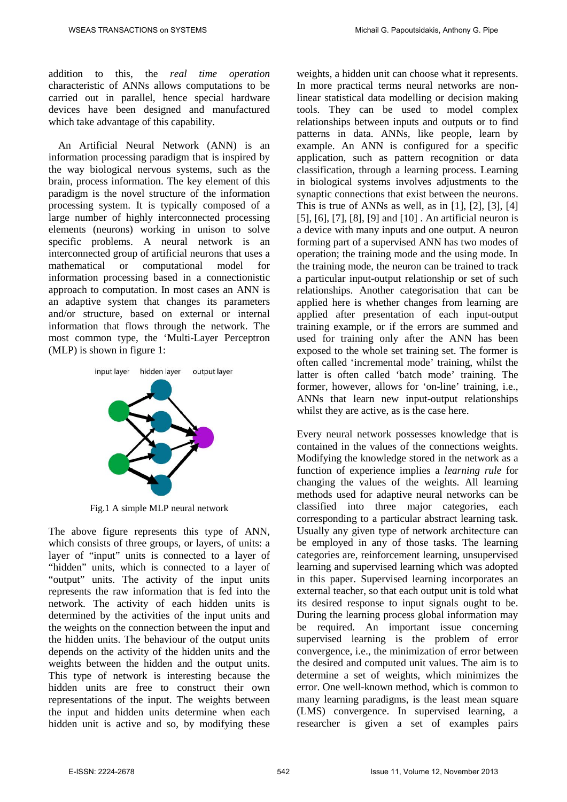addition to this, the *real time operation*  characteristic of ANNs allows computations to be carried out in parallel, hence special hardware devices have been designed and manufactured which take advantage of this capability.

An Artificial Neural Network (ANN) is an information processing paradigm that is inspired by the way biological nervous systems, such as the brain, process information. The key element of this paradigm is the novel structure of the information processing system. It is typically composed of a large number of highly interconnected processing elements (neurons) working in unison to solve specific problems. A neural network is an interconnected group of artificial neurons that uses a mathematical or computational model for information processing based in a connectionistic approach to computation. In most cases an ANN is an adaptive system that changes its parameters and/or structure, based on external or internal information that flows through the network. The most common type, the 'Multi-Layer Perceptron (MLP) is shown in figure 1:





Fig.1 A simple MLP neural network

The above figure represents this type of ANN, which consists of three groups, or layers, of units: a layer of "input" units is connected to a layer of "hidden" units, which is connected to a layer of "output" units. The activity of the input units represents the raw information that is fed into the network. The activity of each hidden units is determined by the activities of the input units and the weights on the connection between the input and the hidden units. The behaviour of the output units depends on the activity of the hidden units and the weights between the hidden and the output units. This type of network is interesting because the hidden units are free to construct their own representations of the input. The weights between the input and hidden units determine when each hidden unit is active and so, by modifying these weights, a hidden unit can choose what it represents. In more practical terms neural networks are nonlinear statistical data modelling or decision making tools. They can be used to model complex relationships between inputs and outputs or to find patterns in data. ANNs, like people, learn by example. An ANN is configured for a specific application, such as pattern recognition or data classification, through a learning process. Learning in biological systems involves adjustments to the synaptic connections that exist between the neurons. This is true of ANNs as well, as in [1], [2], [3], [4] [5], [6], [7], [8], [9] and [10] . An artificial neuron is a device with many inputs and one output. A neuron forming part of a supervised ANN has two modes of operation; the training mode and the using mode. In the training mode, the neuron can be trained to track a particular input-output relationship or set of such relationships. Another categorisation that can be applied here is whether changes from learning are applied after presentation of each input-output training example, or if the errors are summed and used for training only after the ANN has been exposed to the whole set training set. The former is often called 'incremental mode' training, whilst the latter is often called 'batch mode' training. The former, however, allows for 'on-line' training, i.e., ANNs that learn new input-output relationships whilst they are active, as is the case here.

Every neural network possesses knowledge that is contained in the values of the connections weights. Modifying the knowledge stored in the network as a function of experience implies a *learning rule* for changing the values of the weights. All learning methods used for adaptive neural networks can be classified into three major categories, each corresponding to a particular abstract learning task. Usually any given type of network architecture can be employed in any of those tasks. The learning categories are, reinforcement learning, unsupervised learning and supervised learning which was adopted in this paper. Supervised learning incorporates an external teacher, so that each output unit is told what its desired response to input signals ought to be. During the learning process global information may be required. An important issue concerning supervised learning is the problem of error convergence, i.e., the minimization of error between the desired and computed unit values. The aim is to determine a set of weights, which minimizes the error. One well-known method, which is common to many learning paradigms, is the least mean square (LMS) convergence. In supervised learning, a researcher is given a set of examples pairs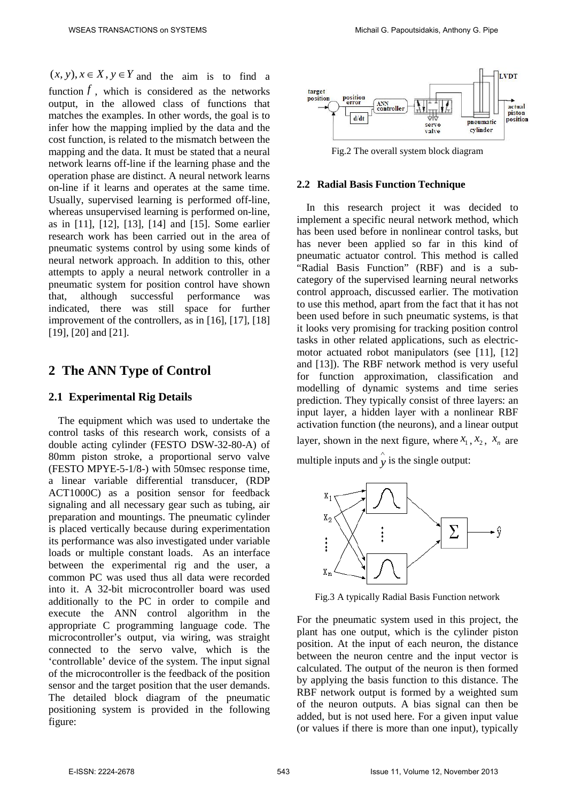$(x, y), x \in X, y \in Y$  and the aim is to find a function  $f$ , which is considered as the networks output, in the allowed class of functions that matches the examples. In other words, the goal is to infer how the mapping implied by the data and the cost function, is related to the mismatch between the mapping and the data. It must be stated that a neural network learns off-line if the learning phase and the operation phase are distinct. A neural network learns on-line if it learns and operates at the same time. Usually, supervised learning is performed off-line, whereas unsupervised learning is performed on-line, as in [11], [12], [13], [14] and [15]. Some earlier research work has been carried out in the area of pneumatic systems control by using some kinds of neural network approach. In addition to this, other attempts to apply a neural network controller in a pneumatic system for position control have shown that, although successful performance was indicated, there was still space for further improvement of the controllers, as in [16], [17], [18] [19], [20] and [21].

### **2 The ANN Type of Control**

#### **2.1 Experimental Rig Details**

The equipment which was used to undertake the control tasks of this research work, consists of a double acting cylinder (FESTO DSW-32-80-A) of 80mm piston stroke, a proportional servo valve (FESTO MPYE-5-1/8-) with 50msec response time, a linear variable differential transducer, (RDP ACT1000C) as a position sensor for feedback signaling and all necessary gear such as tubing, air preparation and mountings. The pneumatic cylinder is placed vertically because during experimentation its performance was also investigated under variable loads or multiple constant loads. As an interface between the experimental rig and the user, a common PC was used thus all data were recorded into it. A 32-bit microcontroller board was used additionally to the PC in order to compile and execute the ANN control algorithm in the appropriate C programming language code. The microcontroller's output, via wiring, was straight connected to the servo valve, which is the 'controllable' device of the system. The input signal of the microcontroller is the feedback of the position sensor and the target position that the user demands. The detailed block diagram of the pneumatic positioning system is provided in the following figure:



Fig.2 The overall system block diagram

#### **2.2 Radial Basis Function Technique**

In this research project it was decided to implement a specific neural network method, which has been used before in nonlinear control tasks, but has never been applied so far in this kind of pneumatic actuator control. This method is called "Radial Basis Function" (RBF) and is a subcategory of the supervised learning neural networks control approach, discussed earlier. The motivation to use this method, apart from the fact that it has not been used before in such pneumatic systems, is that it looks very promising for tracking position control tasks in other related applications, such as electricmotor actuated robot manipulators (see [11], [12] and [13]). The RBF network method is very useful for function approximation, classification and modelling of dynamic systems and time series prediction. They typically consist of three layers: an input layer, a hidden layer with a nonlinear RBF activation function (the neurons), and a linear output layer, shown in the next figure, where  $x_1, x_2, x_n$  are multiple inputs and  $\hat{y}$  is the single output:



Fig.3 A typically Radial Basis Function network

For the pneumatic system used in this project, the plant has one output, which is the cylinder piston position. At the input of each neuron, the distance between the neuron centre and the input vector is calculated. The output of the neuron is then formed by applying the basis function to this distance. The RBF network output is formed by a weighted sum of the neuron outputs. A bias signal can then be added, but is not used here. For a given input value (or values if there is more than one input), typically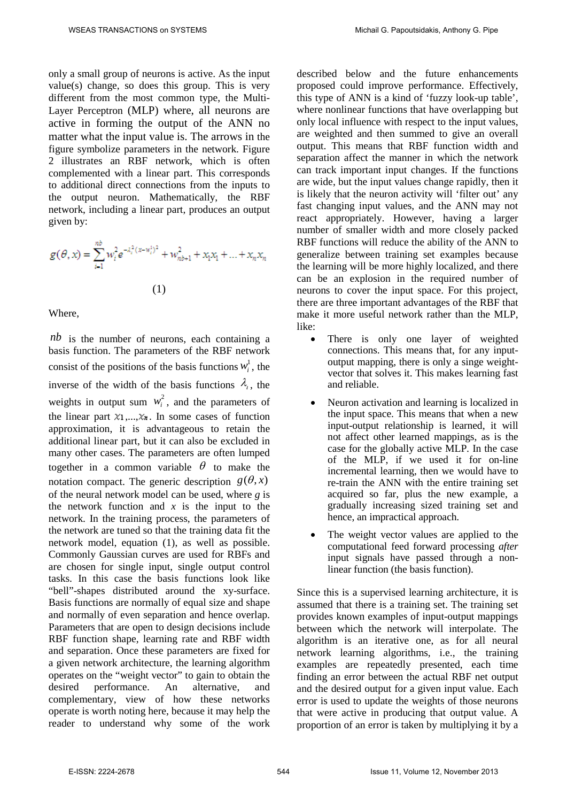only a small group of neurons is active. As the input value(s) change, so does this group. This is very different from the most common type, the Multi-Layer Perceptron (MLP) where, all neurons are active in forming the output of the ANN no matter what the input value is. The arrows in the figure symbolize parameters in the network. Figure 2 illustrates an RBF network, which is often complemented with a linear part. This corresponds to additional direct connections from the inputs to the output neuron. Mathematically, the RBF network, including a linear part, produces an output given by:

$$
g(\theta, x) = \sum_{i=1}^{nb} w_i^2 e^{-\lambda_i^2 (x - w_i^1)^2} + w_{nb+1}^2 + x_1 x_1 + \dots + x_n x_n
$$

(1)

Where,

*nb* is the number of neurons, each containing a basis function. The parameters of the RBF network consist of the positions of the basis functions  $w_i^1$ , the inverse of the width of the basis functions  $\lambda_i$ , the weights in output sum  $w_i^2$ , and the parameters of the linear part  $x_1,...,x_n$ . In some cases of function approximation, it is advantageous to retain the additional linear part, but it can also be excluded in many other cases. The parameters are often lumped together in a common variable  $\theta$  to make the notation compact. The generic description  $g(\theta, x)$ of the neural network model can be used, where *g* is the network function and  $x$  is the input to the network. In the training process, the parameters of the network are tuned so that the training data fit the network model, equation (1), as well as possible. Commonly Gaussian curves are used for RBFs and are chosen for single input, single output control tasks. In this case the basis functions look like "bell"-shapes distributed around the xy-surface. Basis functions are normally of equal size and shape and normally of even separation and hence overlap. Parameters that are open to design decisions include RBF function shape, learning rate and RBF width and separation. Once these parameters are fixed for a given network architecture, the learning algorithm operates on the "weight vector" to gain to obtain the desired performance. An alternative, and complementary, view of how these networks operate is worth noting here, because it may help the reader to understand why some of the work

described below and the future enhancements proposed could improve performance. Effectively, this type of ANN is a kind of 'fuzzy look-up table', where nonlinear functions that have overlapping but only local influence with respect to the input values, are weighted and then summed to give an overall output. This means that RBF function width and separation affect the manner in which the network can track important input changes. If the functions are wide, but the input values change rapidly, then it is likely that the neuron activity will 'filter out' any fast changing input values, and the ANN may not react appropriately. However, having a larger number of smaller width and more closely packed RBF functions will reduce the ability of the ANN to generalize between training set examples because the learning will be more highly localized, and there can be an explosion in the required number of neurons to cover the input space. For this project, there are three important advantages of the RBF that make it more useful network rather than the MLP, like:

- There is only one layer of weighted connections. This means that, for any inputoutput mapping, there is only a singe weightvector that solves it. This makes learning fast and reliable.
- Neuron activation and learning is localized in the input space. This means that when a new input-output relationship is learned, it will not affect other learned mappings, as is the case for the globally active MLP. In the case of the MLP, if we used it for on-line incremental learning, then we would have to re-train the ANN with the entire training set acquired so far, plus the new example, a gradually increasing sized training set and hence, an impractical approach.
- The weight vector values are applied to the computational feed forward processing *after* input signals have passed through a nonlinear function (the basis function).

Since this is a supervised learning architecture, it is assumed that there is a training set. The training set provides known examples of input-output mappings between which the network will interpolate. The algorithm is an iterative one, as for all neural network learning algorithms, i.e., the training examples are repeatedly presented, each time finding an error between the actual RBF net output and the desired output for a given input value. Each error is used to update the weights of those neurons that were active in producing that output value. A proportion of an error is taken by multiplying it by a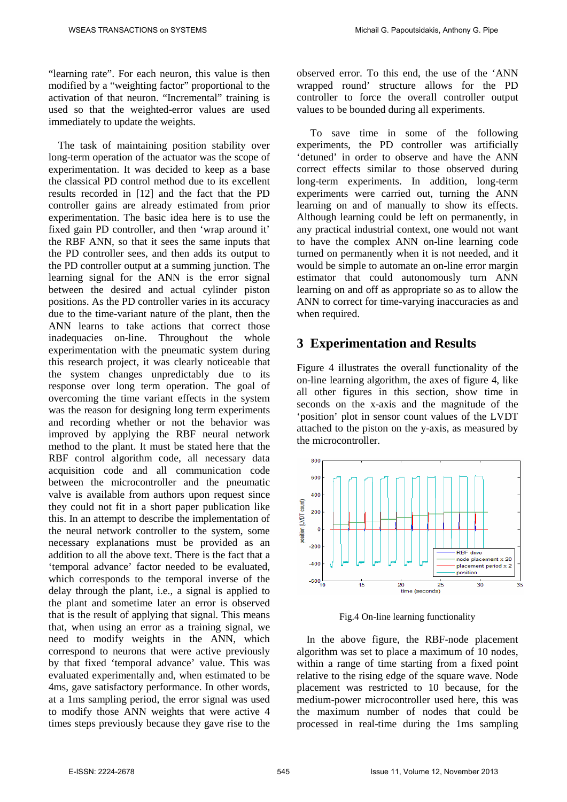"learning rate". For each neuron, this value is then modified by a "weighting factor" proportional to the activation of that neuron. "Incremental" training is used so that the weighted-error values are used immediately to update the weights.

The task of maintaining position stability over long-term operation of the actuator was the scope of experimentation. It was decided to keep as a base the classical PD control method due to its excellent results recorded in [12] and the fact that the PD controller gains are already estimated from prior experimentation. The basic idea here is to use the fixed gain PD controller, and then 'wrap around it' the RBF ANN, so that it sees the same inputs that the PD controller sees, and then adds its output to the PD controller output at a summing junction. The learning signal for the ANN is the error signal between the desired and actual cylinder piston positions. As the PD controller varies in its accuracy due to the time-variant nature of the plant, then the ANN learns to take actions that correct those inadequacies on-line. Throughout the whole experimentation with the pneumatic system during this research project, it was clearly noticeable that the system changes unpredictably due to its response over long term operation. The goal of overcoming the time variant effects in the system was the reason for designing long term experiments and recording whether or not the behavior was improved by applying the RBF neural network method to the plant. It must be stated here that the RBF control algorithm code, all necessary data acquisition code and all communication code between the microcontroller and the pneumatic valve is available from authors upon request since they could not fit in a short paper publication like this. In an attempt to describe the implementation of the neural network controller to the system, some necessary explanations must be provided as an addition to all the above text. There is the fact that a 'temporal advance' factor needed to be evaluated, which corresponds to the temporal inverse of the delay through the plant, i.e., a signal is applied to the plant and sometime later an error is observed that is the result of applying that signal. This means that, when using an error as a training signal, we need to modify weights in the ANN, which correspond to neurons that were active previously by that fixed 'temporal advance' value. This was evaluated experimentally and, when estimated to be 4ms, gave satisfactory performance. In other words, at a 1ms sampling period, the error signal was used to modify those ANN weights that were active 4 times steps previously because they gave rise to the observed error. To this end, the use of the 'ANN wrapped round' structure allows for the PD controller to force the overall controller output values to be bounded during all experiments.

To save time in some of the following experiments, the PD controller was artificially 'detuned' in order to observe and have the ANN correct effects similar to those observed during long-term experiments. In addition, long-term experiments were carried out, turning the ANN learning on and of manually to show its effects. Although learning could be left on permanently, in any practical industrial context, one would not want to have the complex ANN on-line learning code turned on permanently when it is not needed, and it would be simple to automate an on-line error margin estimator that could autonomously turn ANN learning on and off as appropriate so as to allow the ANN to correct for time-varying inaccuracies as and when required.

## **3 Experimentation and Results**

Figure 4 illustrates the overall functionality of the on-line learning algorithm, the axes of figure 4, like all other figures in this section, show time in seconds on the x-axis and the magnitude of the 'position' plot in sensor count values of the LVDT attached to the piston on the y-axis, as measured by the microcontroller.



Fig.4 On-line learning functionality

In the above figure, the RBF-node placement algorithm was set to place a maximum of 10 nodes, within a range of time starting from a fixed point relative to the rising edge of the square wave. Node placement was restricted to 10 because, for the medium-power microcontroller used here, this was the maximum number of nodes that could be processed in real-time during the 1ms sampling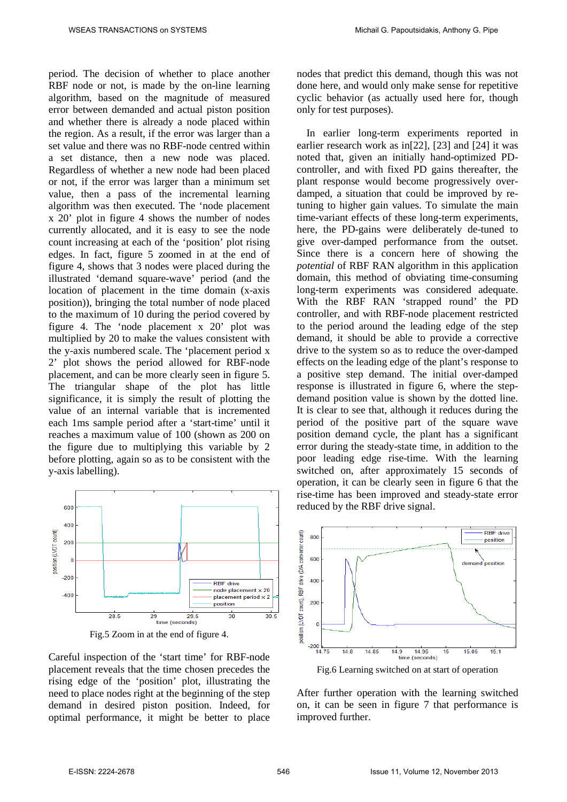period. The decision of whether to place another RBF node or not, is made by the on-line learning algorithm, based on the magnitude of measured error between demanded and actual piston position and whether there is already a node placed within the region. As a result, if the error was larger than a set value and there was no RBF-node centred within a set distance, then a new node was placed. Regardless of whether a new node had been placed or not, if the error was larger than a minimum set value, then a pass of the incremental learning algorithm was then executed. The 'node placement x 20' plot in figure 4 shows the number of nodes currently allocated, and it is easy to see the node count increasing at each of the 'position' plot rising edges. In fact, figure 5 zoomed in at the end of figure 4, shows that 3 nodes were placed during the illustrated 'demand square-wave' period (and the location of placement in the time domain (x-axis position)), bringing the total number of node placed to the maximum of 10 during the period covered by figure 4. The 'node placement x 20' plot was multiplied by 20 to make the values consistent with the y-axis numbered scale. The 'placement period x 2' plot shows the period allowed for RBF-node placement, and can be more clearly seen in figure 5. The triangular shape of the plot has little significance, it is simply the result of plotting the value of an internal variable that is incremented each 1ms sample period after a 'start-time' until it reaches a maximum value of 100 (shown as 200 on the figure due to multiplying this variable by 2 before plotting, again so as to be consistent with the y-axis labelling).



Fig.5 Zoom in at the end of figure 4.

Careful inspection of the 'start time' for RBF-node placement reveals that the time chosen precedes the rising edge of the 'position' plot, illustrating the need to place nodes right at the beginning of the step demand in desired piston position. Indeed, for optimal performance, it might be better to place nodes that predict this demand, though this was not done here, and would only make sense for repetitive cyclic behavior (as actually used here for, though only for test purposes).

In earlier long-term experiments reported in earlier research work as in[22], [23] and [24] it was noted that, given an initially hand-optimized PDcontroller, and with fixed PD gains thereafter, the plant response would become progressively overdamped, a situation that could be improved by retuning to higher gain values. To simulate the main time-variant effects of these long-term experiments, here, the PD-gains were deliberately de-tuned to give over-damped performance from the outset. Since there is a concern here of showing the *potential* of RBF RAN algorithm in this application domain, this method of obviating time-consuming long-term experiments was considered adequate. With the RBF RAN 'strapped round' the PD controller, and with RBF-node placement restricted to the period around the leading edge of the step demand, it should be able to provide a corrective drive to the system so as to reduce the over-damped effects on the leading edge of the plant's response to a positive step demand. The initial over-damped response is illustrated in figure 6, where the stepdemand position value is shown by the dotted line. It is clear to see that, although it reduces during the period of the positive part of the square wave position demand cycle, the plant has a significant error during the steady-state time, in addition to the poor leading edge rise-time. With the learning switched on, after approximately 15 seconds of operation, it can be clearly seen in figure 6 that the rise-time has been improved and steady-state error reduced by the RBF drive signal.



Fig.6 Learning switched on at start of operation

After further operation with the learning switched on, it can be seen in figure 7 that performance is improved further.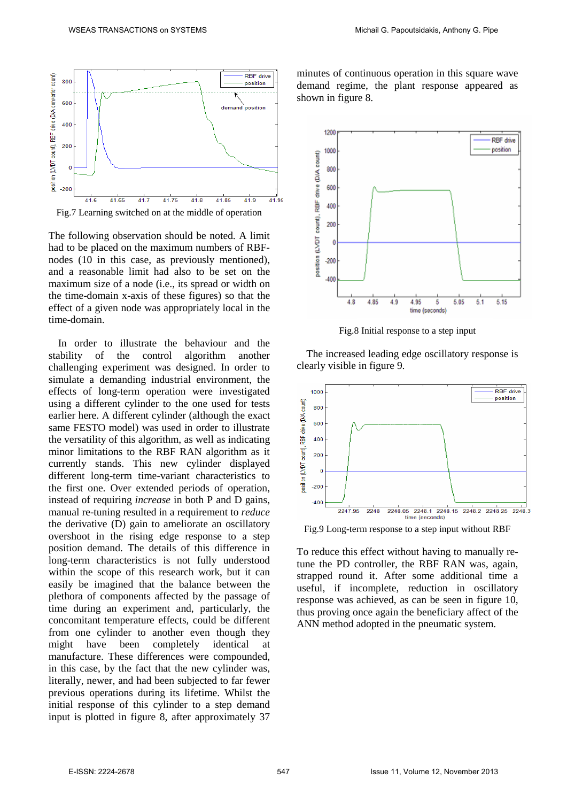

The following observation should be noted. A limit had to be placed on the maximum numbers of RBFnodes (10 in this case, as previously mentioned), and a reasonable limit had also to be set on the maximum size of a node (i.e., its spread or width on the time-domain x-axis of these figures) so that the effect of a given node was appropriately local in the time-domain.

In order to illustrate the behaviour and the stability of the control algorithm another challenging experiment was designed. In order to simulate a demanding industrial environment, the effects of long-term operation were investigated using a different cylinder to the one used for tests earlier here. A different cylinder (although the exact same FESTO model) was used in order to illustrate the versatility of this algorithm, as well as indicating minor limitations to the RBF RAN algorithm as it currently stands. This new cylinder displayed different long-term time-variant characteristics to the first one. Over extended periods of operation, instead of requiring *increase* in both P and D gains, manual re-tuning resulted in a requirement to *reduce* the derivative (D) gain to ameliorate an oscillatory overshoot in the rising edge response to a step position demand. The details of this difference in long-term characteristics is not fully understood within the scope of this research work, but it can easily be imagined that the balance between the plethora of components affected by the passage of time during an experiment and, particularly, the concomitant temperature effects, could be different from one cylinder to another even though they might have been completely identical manufacture. These differences were compounded, in this case, by the fact that the new cylinder was, literally, newer, and had been subjected to far fewer previous operations during its lifetime. Whilst the initial response of this cylinder to a step demand input is plotted in figure 8, after approximately 37 minutes of continuous operation in this square wave demand regime, the plant response appeared as shown in figure 8.



Fig.8 Initial response to a step input

The increased leading edge oscillatory response is clearly visible in figure 9.



Fig.9 Long-term response to a step input without RBF

To reduce this effect without having to manually retune the PD controller, the RBF RAN was, again, strapped round it. After some additional time a useful, if incomplete, reduction in oscillatory response was achieved, as can be seen in figure 10, thus proving once again the beneficiary affect of the ANN method adopted in the pneumatic system.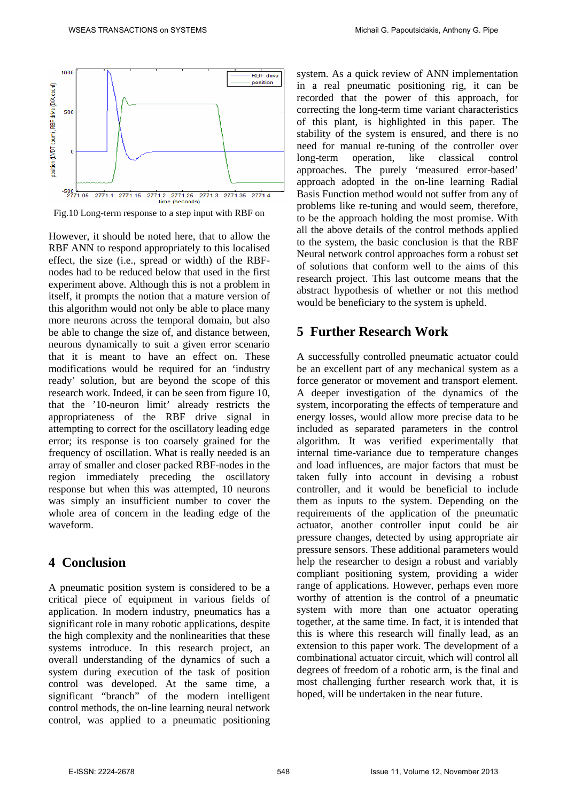

Fig.10 Long-term response to a step input with RBF on

However, it should be noted here, that to allow the RBF ANN to respond appropriately to this localised effect, the size (i.e., spread or width) of the RBFnodes had to be reduced below that used in the first experiment above. Although this is not a problem in itself, it prompts the notion that a mature version of this algorithm would not only be able to place many more neurons across the temporal domain, but also be able to change the size of, and distance between, neurons dynamically to suit a given error scenario that it is meant to have an effect on. These modifications would be required for an 'industry ready' solution, but are beyond the scope of this research work. Indeed, it can be seen from figure 10, that the '10-neuron limit' already restricts the appropriateness of the RBF drive signal in attempting to correct for the oscillatory leading edge error; its response is too coarsely grained for the frequency of oscillation. What is really needed is an array of smaller and closer packed RBF-nodes in the region immediately preceding the oscillatory response but when this was attempted, 10 neurons was simply an insufficient number to cover the whole area of concern in the leading edge of the waveform.

### **4 Conclusion**

A pneumatic position system is considered to be a critical piece of equipment in various fields of application. In modern industry, pneumatics has a significant role in many robotic applications, despite the high complexity and the nonlinearities that these systems introduce. In this research project, an overall understanding of the dynamics of such a system during execution of the task of position control was developed. At the same time, a significant "branch" of the modern intelligent control methods, the on-line learning neural network control, was applied to a pneumatic positioning system. As a quick review of ANN implementation in a real pneumatic positioning rig, it can be recorded that the power of this approach, for correcting the long-term time variant characteristics of this plant, is highlighted in this paper. The stability of the system is ensured, and there is no need for manual re-tuning of the controller over long-term operation, like classical control approaches. The purely 'measured error-based' approach adopted in the on-line learning Radial Basis Function method would not suffer from any of problems like re-tuning and would seem, therefore, to be the approach holding the most promise. With all the above details of the control methods applied to the system, the basic conclusion is that the RBF Neural network control approaches form a robust set of solutions that conform well to the aims of this research project. This last outcome means that the abstract hypothesis of whether or not this method would be beneficiary to the system is upheld.

## **5 Further Research Work**

A successfully controlled pneumatic actuator could be an excellent part of any mechanical system as a force generator or movement and transport element. A deeper investigation of the dynamics of the system, incorporating the effects of temperature and energy losses, would allow more precise data to be included as separated parameters in the control algorithm. It was verified experimentally that internal time-variance due to temperature changes and load influences, are major factors that must be taken fully into account in devising a robust controller, and it would be beneficial to include them as inputs to the system. Depending on the requirements of the application of the pneumatic actuator, another controller input could be air pressure changes, detected by using appropriate air pressure sensors. These additional parameters would help the researcher to design a robust and variably compliant positioning system, providing a wider range of applications. However, perhaps even more worthy of attention is the control of a pneumatic system with more than one actuator operating together, at the same time. In fact, it is intended that this is where this research will finally lead, as an extension to this paper work. The development of a combinational actuator circuit, which will control all degrees of freedom of a robotic arm, is the final and most challenging further research work that, it is hoped, will be undertaken in the near future.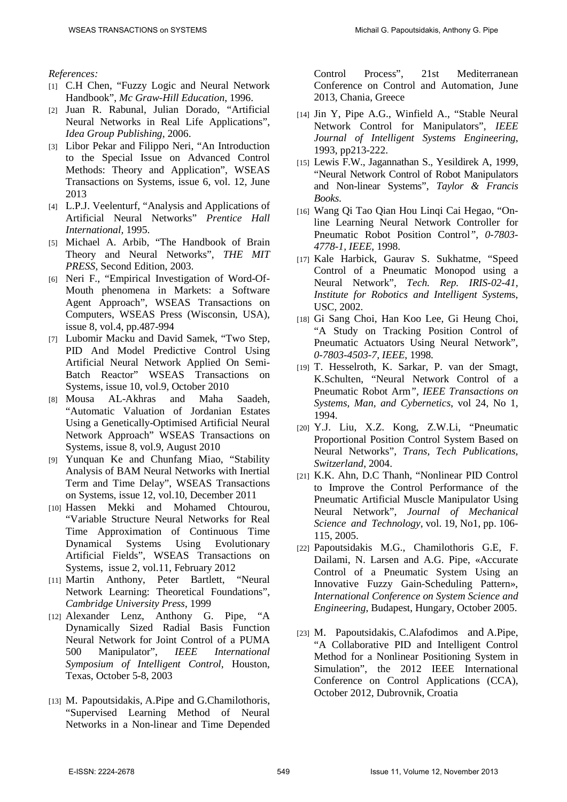*References:*

- [1] C.H Chen, "Fuzzy Logic and Neural Network Handbook", *Mc Graw-Hill Education*, 1996.
- [2] Juan R. Rabunal, Julian Dorado, "Artificial Neural Networks in Real Life Applications", *Idea Group Publishing*, 2006.
- [3] Libor Pekar and Filippo Neri, "An Introduction to the Special Issue on Advanced Control Methods: Theory and Application", WSEAS Transactions on Systems, issue 6, vol. 12, June 2013
- [4] L.P.J. Veelenturf, "Analysis and Applications of Artificial Neural Networks" *Prentice Hall International,* 1995.
- [5] Michael A. Arbib, "The Handbook of Brain Theory and Neural Networks", *THE MIT PRESS*, Second Edition, 2003.
- [6] Neri F., "Empirical Investigation of Word-Of-Mouth phenomena in Markets: a Software Agent Approach", WSEAS Transactions on Computers, WSEAS Press (Wisconsin, USA), issue 8, vol.4, pp.487-994
- [7] Lubomir Macku and David Samek, "Two Step, PID And Model Predictive Control Using Artificial Neural Network Applied On Semi-Batch Reactor" WSEAS Transactions on Systems, issue 10, vol.9, October 2010
- [8] Mousa AL-Akhras and Maha Saadeh, "Automatic Valuation of Jordanian Estates Using a Genetically-Optimised Artificial Neural Network Approach" WSEAS Transactions on Systems, issue 8, vol.9, August 2010
- [9] Yunquan Ke and Chunfang Miao, "Stability Analysis of BAM Neural Networks with Inertial Term and Time Delay", WSEAS Transactions on Systems, issue 12, vol.10, December 2011
- [10] Hassen Mekki and Mohamed Chtourou, "Variable Structure Neural Networks for Real Time Approximation of Continuous Time Dynamical Systems Using Evolutionary Artificial Fields", WSEAS Transactions on Systems, issue 2, vol.11, February 2012
- [11] Martin Anthony, Peter Bartlett, "Neural Network Learning: Theoretical Foundations", *Cambridge University Press*, 1999
- [12] Alexander Lenz, Anthony G. Pipe, "A Dynamically Sized Radial Basis Function Neural Network for Joint Control of a PUMA 500 Manipulator", *IEEE International Symposium of Intelligent Control*, Houston, Texas, October 5-8, 2003
- [13] M. Papoutsidakis, [A.Pipe](https://www.researchgate.net/researcher/2035541348_APipe/) and [G.Chamilothoris,](https://www.researchgate.net/researcher/2035551681_GChamilothoris/) ["Supervised Learning Method of Neural](https://www.researchgate.net/publication/258257855_Supervised_Learning_Method_of_Neural_Networks_in_a_Non-linear_and_Time_Depended_Control_Process?ev=prf_pub)  [Networks in a Non-linear and Time Depended](https://www.researchgate.net/publication/258257855_Supervised_Learning_Method_of_Neural_Networks_in_a_Non-linear_and_Time_Depended_Control_Process?ev=prf_pub)

[Control Process"](https://www.researchgate.net/publication/258257855_Supervised_Learning_Method_of_Neural_Networks_in_a_Non-linear_and_Time_Depended_Control_Process?ev=prf_pub), 21st Mediterranean Conference on Control and Automation, June 2013, Chania, Greece

- [14] Jin Y, Pipe A.G., Winfield A., "Stable Neural Network Control for Manipulators", *IEEE Journal of Intelligent Systems Engineering*, 1993, pp213-222.
- [15] Lewis F.W., Jagannathan S., Yesildirek A, 1999, "Neural Network Control of Robot Manipulators and Non-linear Systems", *Taylor & Francis Books*.
- [16] Wang Qi Tao Qian Hou Linqi Cai Hegao, "Online Learning Neural Network Controller for Pneumatic Robot Position Control*", 0-7803- 4778-1, IEEE*, 1998.
- [17] Kale Harbick, Gaurav S. Sukhatme, "Speed Control of a Pneumatic Monopod using a Neural Network", *Tech. Rep. IRIS-02-41, Institute for Robotics and Intelligent System*s, USC, 2002.
- [18] Gi Sang Choi, Han Koo Lee, Gi Heung Choi, "A Study on Tracking Position Control of Pneumatic Actuators Using Neural Network", *0-7803-4503-7, IEEE*, 1998.
- [19] T. Hesselroth, K. Sarkar, P. van der Smagt, K.Schulten, "Neural Network Control of a Pneumatic Robot Arm*", IEEE Transactions on Systems, Man, and Cybernetics*, vol 24, No 1, 1994.
- [20] Y.J. Liu, X.Z. Kong, Z.W.Li, "Pneumatic Proportional Position Control System Based on Neural Networks", *Trans, Tech Publications, Switzerland*, 2004.
- [21] K.K. Ahn, D.C Thanh, "Nonlinear PID Control to Improve the Control Performance of the Pneumatic Artificial Muscle Manipulator Using Neural Network", *Journal of Mechanical Science and Technology*, vol. 19, No1, pp. 106- 115, 2005.
- [22] Papoutsidakis M.G., Chamilothoris G.E, F. Dailami, N. Larsen and A.G. Pipe, «Accurate Control of a Pneumatic System Using an Innovative Fuzzy Gain-Scheduling Pattern», *International Conference on System Science and Engineering*, Budapest, Hungary, October 2005.
- [23] M. Papoutsidakis, [C.Alafodimos](https://www.researchgate.net/researcher/2035540641_CAlafodimos/) and [A.Pipe,](https://www.researchgate.net/researcher/2035541348_APipe/) ["A Collaborative PID and Intelligent Control](https://www.researchgate.net/publication/258257506_A_Collaborative_PID_and_Intelligent_Control_Method_for_a_Nonlinear_Positioning_System_in_Simulation?ev=prf_pub)  [Method for a Nonlinear Positioning System in](https://www.researchgate.net/publication/258257506_A_Collaborative_PID_and_Intelligent_Control_Method_for_a_Nonlinear_Positioning_System_in_Simulation?ev=prf_pub)  [Simulation"](https://www.researchgate.net/publication/258257506_A_Collaborative_PID_and_Intelligent_Control_Method_for_a_Nonlinear_Positioning_System_in_Simulation?ev=prf_pub), the 2012 IEEE International Conference on Control Applications (CCA), October 2012, Dubrovnik, Croatia